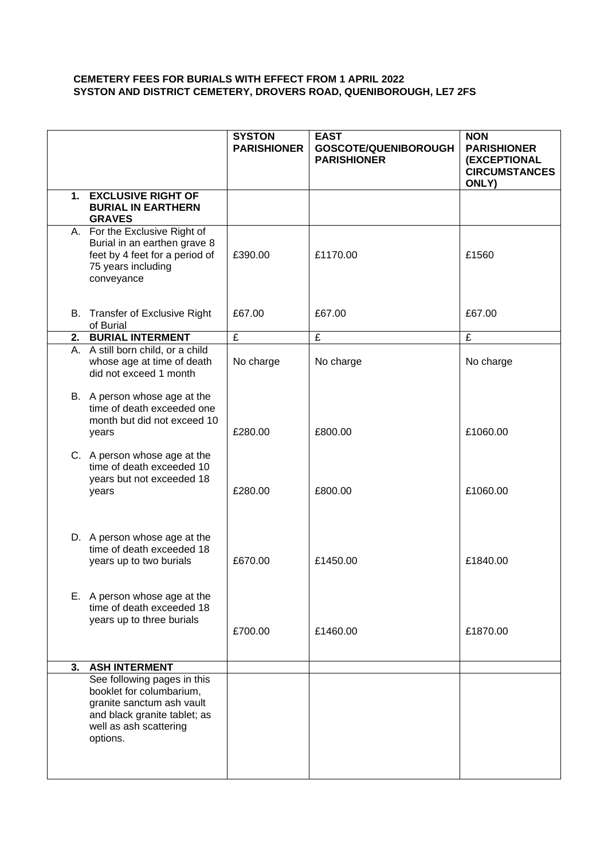## **CEMETERY FEES FOR BURIALS WITH EFFECT FROM 1 APRIL 2022 SYSTON AND DISTRICT CEMETERY, DROVERS ROAD, QUENIBOROUGH, LE7 2FS**

|    |                                                                                                                                                            | <b>SYSTON</b><br><b>PARISHIONER</b> | <b>EAST</b><br>GOSCOTE/QUENIBOROUGH<br><b>PARISHIONER</b> | <b>NON</b><br><b>PARISHIONER</b><br>(EXCEPTIONAL<br><b>CIRCUMSTANCES</b><br>ONLY) |
|----|------------------------------------------------------------------------------------------------------------------------------------------------------------|-------------------------------------|-----------------------------------------------------------|-----------------------------------------------------------------------------------|
|    | 1. EXCLUSIVE RIGHT OF<br><b>BURIAL IN EARTHERN</b><br><b>GRAVES</b>                                                                                        |                                     |                                                           |                                                                                   |
|    | A. For the Exclusive Right of<br>Burial in an earthen grave 8<br>feet by 4 feet for a period of<br>75 years including<br>conveyance                        | £390.00                             | £1170.00                                                  | £1560                                                                             |
|    | B. Transfer of Exclusive Right<br>of Burial                                                                                                                | £67.00                              | £67.00                                                    | £67.00                                                                            |
|    | 2. BURIAL INTERMENT                                                                                                                                        | $\overline{\mathbf{f}}$             | £                                                         | £                                                                                 |
|    | A. A still born child, or a child<br>whose age at time of death<br>did not exceed 1 month                                                                  | No charge                           | No charge                                                 | No charge                                                                         |
|    | B. A person whose age at the<br>time of death exceeded one<br>month but did not exceed 10<br>years                                                         | £280.00                             | £800.00                                                   | £1060.00                                                                          |
|    | C. A person whose age at the<br>time of death exceeded 10<br>years but not exceeded 18<br>years                                                            | £280.00                             | £800.00                                                   | £1060.00                                                                          |
|    | D. A person whose age at the<br>time of death exceeded 18<br>years up to two burials                                                                       | £670.00                             | £1450.00                                                  | £1840.00                                                                          |
|    | E. A person whose age at the<br>time of death exceeded 18<br>years up to three burials                                                                     | £700.00                             | £1460.00                                                  | £1870.00                                                                          |
| 3. | <b>ASH INTERMENT</b>                                                                                                                                       |                                     |                                                           |                                                                                   |
|    | See following pages in this<br>booklet for columbarium,<br>granite sanctum ash vault<br>and black granite tablet; as<br>well as ash scattering<br>options. |                                     |                                                           |                                                                                   |